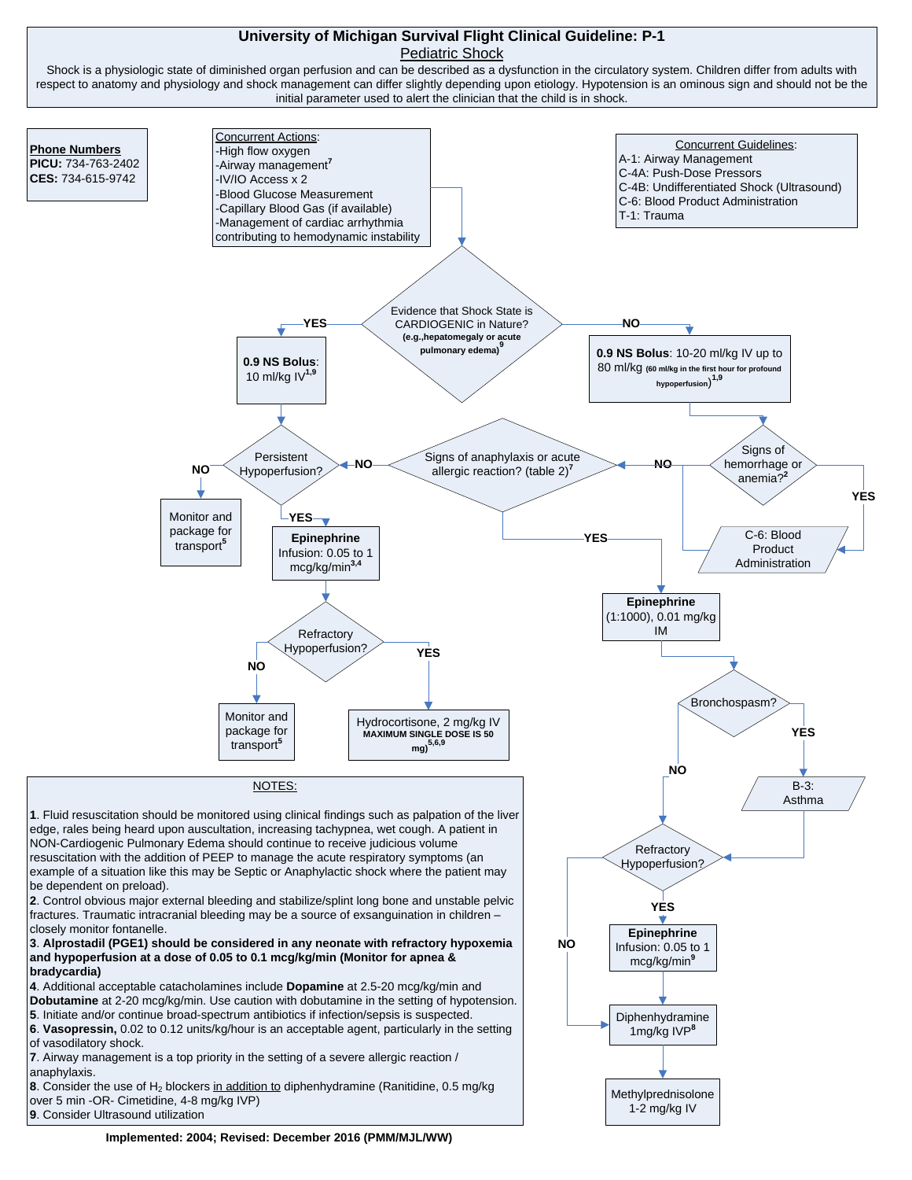## **University of Michigan Survival Flight Clinical Guideline: P-1** Pediatric Shock

Shock is a physiologic state of diminished organ perfusion and can be described as a dysfunction in the circulatory system. Children differ from adults with respect to anatomy and physiology and shock management can differ slightly depending upon etiology. Hypotension is an ominous sign and should not be the initial parameter used to alert the clinician that the child is in shock.